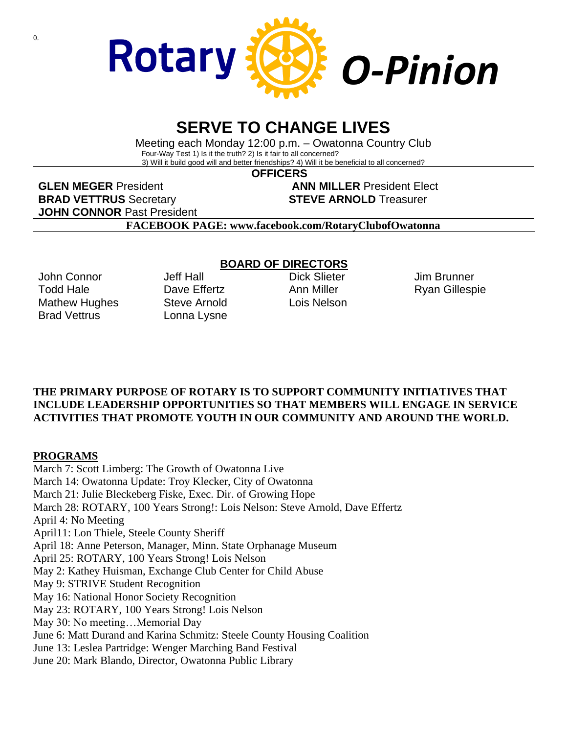

# **SERVE TO CHANGE LIVES**

Meeting each Monday 12:00 p.m. – Owatonna Country Club Four-Way Test 1) Is it the truth? 2) Is it fair to all concerned? 3) Will it build good will and better friendships? 4) Will it be beneficial to all concerned?

 **OFFICERS**

**GLEN MEGER** President **ANN MILLER** President Elect **BRAD VETTRUS** Secretary **STEVE ARNOLD** Treasurer **JOHN CONNOR** Past President

**FACEBOOK PAGE: www.facebook.com/RotaryClubofOwatonna**

John Connor Todd Hale Mathew Hughes Brad Vettrus

Jeff Hall Dave Fffertz Steve Arnold Lonna Lysne

### **BOARD OF DIRECTORS**

Dick Slieter Ann Miller Lois Nelson

Jim Brunner Ryan Gillespie

### **THE PRIMARY PURPOSE OF ROTARY IS TO SUPPORT COMMUNITY INITIATIVES THAT INCLUDE LEADERSHIP OPPORTUNITIES SO THAT MEMBERS WILL ENGAGE IN SERVICE ACTIVITIES THAT PROMOTE YOUTH IN OUR COMMUNITY AND AROUND THE WORLD.**

### **PROGRAMS**

March 7: Scott Limberg: The Growth of Owatonna Live March 14: Owatonna Update: Troy Klecker, City of Owatonna March 21: Julie Bleckeberg Fiske, Exec. Dir. of Growing Hope March 28: ROTARY, 100 Years Strong!: Lois Nelson: Steve Arnold, Dave Effertz April 4: No Meeting April11: Lon Thiele, Steele County Sheriff April 18: Anne Peterson, Manager, Minn. State Orphanage Museum April 25: ROTARY, 100 Years Strong! Lois Nelson May 2: Kathey Huisman, Exchange Club Center for Child Abuse May 9: STRIVE Student Recognition May 16: National Honor Society Recognition May 23: ROTARY, 100 Years Strong! Lois Nelson May 30: No meeting…Memorial Day June 6: Matt Durand and Karina Schmitz: Steele County Housing Coalition June 13: Leslea Partridge: Wenger Marching Band Festival June 20: Mark Blando, Director, Owatonna Public Library